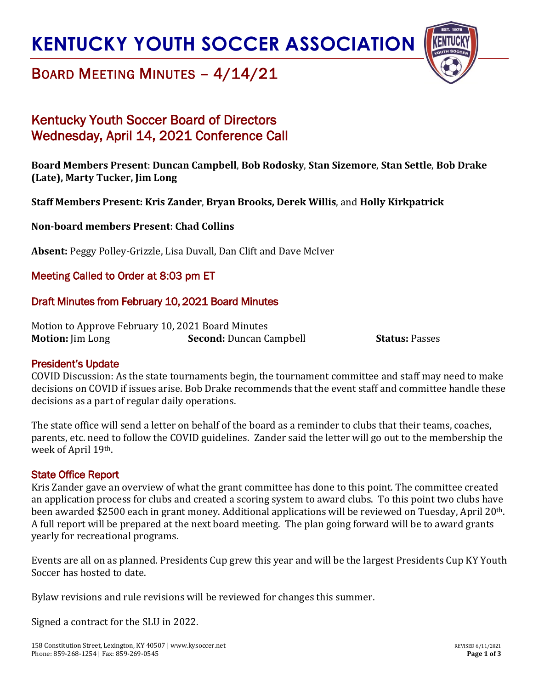## **KENTUCKY YOUTH SOCCER ASSOCIATION**



### BOARD MEETING MINUTES – 4/14/21

### Kentucky Youth Soccer Board of Directors Wednesday, April 14, 2021 Conference Call

### **Board Members Present**: **Duncan Campbell**, **Bob Rodosky**, **Stan Sizemore**, **Stan Settle**, **Bob Drake (Late), Marty Tucker, Jim Long**

### **Staff Members Present: Kris Zander**, **Bryan Brooks, Derek Willis**, and **Holly Kirkpatrick**

### **Non-board members Present**: **Chad Collins**

**Absent:** Peggy Polley-Grizzle, Lisa Duvall, Dan Clift and Dave McIver

### Meeting Called to Order at 8:03 pm ET

### Draft Minutes from February 10, 2021 Board Minutes

Motion to Approve February 10, 2021 Board Minutes **Motion:** Jim Long **Second:** Duncan Campbell **Status:** Passes

#### President's Update

COVID Discussion: As the state tournaments begin, the tournament committee and staff may need to make decisions on COVID if issues arise. Bob Drake recommends that the event staff and committee handle these decisions as a part of regular daily operations.

The state office will send a letter on behalf of the board as a reminder to clubs that their teams, coaches, parents, etc. need to follow the COVID guidelines. Zander said the letter will go out to the membership the week of April 19th.

#### State Office Report

Kris Zander gave an overview of what the grant committee has done to this point. The committee created an application process for clubs and created a scoring system to award clubs. To this point two clubs have been awarded \$2500 each in grant money. Additional applications will be reviewed on Tuesday, April 20th. A full report will be prepared at the next board meeting. The plan going forward will be to award grants yearly for recreational programs.

Events are all on as planned. Presidents Cup grew this year and will be the largest Presidents Cup KY Youth Soccer has hosted to date.

Bylaw revisions and rule revisions will be reviewed for changes this summer.

Signed a contract for the SLU in 2022.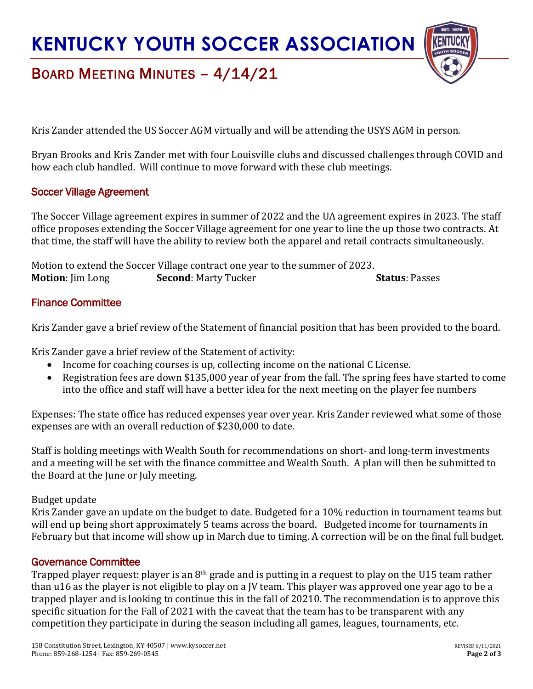# **KENTUCKY YOUTH SOCCER ASSOCIATION**



## BOARD MEETING MINUTES – 4/14/21

Kris Zander attended the US Soccer AGM virtually and will be attending the USYS AGM in person.

Bryan Brooks and Kris Zander met with four Louisville clubs and discussed challenges through COVID and how each club handled. Will continue to move forward with these club meetings.

### Soccer Village Agreement

The Soccer Village agreement expires in summer of 2022 and the UA agreement expires in 2023. The staff office proposes extending the Soccer Village agreement for one year to line the up those two contracts. At that time, the staff will have the ability to review both the apparel and retail contracts simultaneously.

Motion to extend the Soccer Village contract one year to the summer of 2023. **Motion**: Jim Long **Second**: Marty Tucker **Status**: Passes

### Finance Committee

Kris Zander gave a brief review of the Statement of financial position that has been provided to the board.

Kris Zander gave a brief review of the Statement of activity:

- Income for coaching courses is up, collecting income on the national C License.
- Registration fees are down \$135,000 year of year from the fall. The spring fees have started to come into the office and staff will have a better idea for the next meeting on the player fee numbers

Expenses: The state office has reduced expenses year over year. Kris Zander reviewed what some of those expenses are with an overall reduction of \$230,000 to date.

Staff is holding meetings with Wealth South for recommendations on short- and long-term investments and a meeting will be set with the finance committee and Wealth South. A plan will then be submitted to the Board at the June or July meeting.

#### Budget update

Kris Zander gave an update on the budget to date. Budgeted for a 10% reduction in tournament teams but will end up being short approximately 5 teams across the board. Budgeted income for tournaments in February but that income will show up in March due to timing. A correction will be on the final full budget.

### Governance Committee

Trapped player request: player is an 8<sup>th</sup> grade and is putting in a request to play on the U15 team rather than u16 as the player is not eligible to play on a JV team. This player was approved one year ago to be a trapped player and is looking to continue this in the fall of 20210. The recommendation is to approve this specific situation for the Fall of 2021 with the caveat that the team has to be transparent with any competition they participate in during the season including all games, leagues, tournaments, etc.